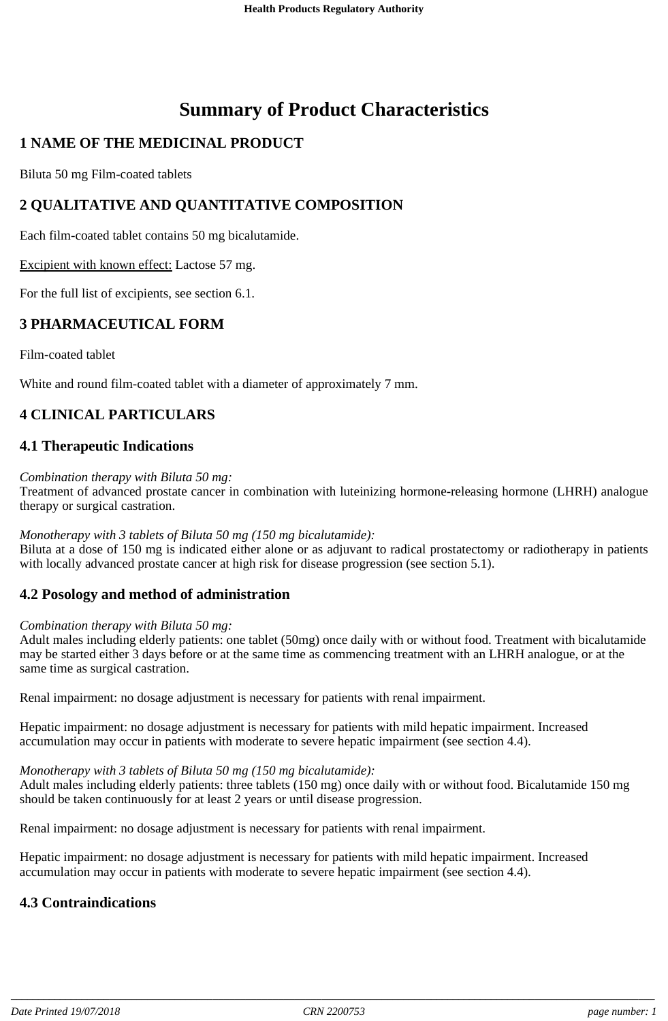# **Summary of Product Characteristics**

## **1 NAME OF THE MEDICINAL PRODUCT**

Biluta 50 mg Film-coated tablets

## **2 QUALITATIVE AND QUANTITATIVE COMPOSITION**

Each film-coated tablet contains 50 mg bicalutamide.

Excipient with known effect: Lactose 57 mg.

For the full list of excipients, see section 6.1.

### **3 PHARMACEUTICAL FORM**

Film-coated tablet

White and round film-coated tablet with a diameter of approximately 7 mm.

## **4 CLINICAL PARTICULARS**

### **4.1 Therapeutic Indications**

#### *Combination therapy with Biluta 50 mg:*

Treatment of advanced prostate cancer in combination with luteinizing hormone-releasing hormone (LHRH) analogue therapy or surgical castration.

#### *Monotherapy with 3 tablets of Biluta 50 mg (150 mg bicalutamide):*

Biluta at a dose of 150 mg is indicated either alone or as adjuvant to radical prostatectomy or radiotherapy in patients with locally advanced prostate cancer at high risk for disease progression (see section 5.1).

#### **4.2 Posology and method of administration**

#### *Combination therapy with Biluta 50 mg:*

Adult males including elderly patients: one tablet (50mg) once daily with or without food. Treatment with bicalutamide may be started either 3 days before or at the same time as commencing treatment with an LHRH analogue, or at the same time as surgical castration.

Renal impairment: no dosage adjustment is necessary for patients with renal impairment.

Hepatic impairment: no dosage adjustment is necessary for patients with mild hepatic impairment. Increased accumulation may occur in patients with moderate to severe hepatic impairment (see section 4.4).

#### *Monotherapy with 3 tablets of Biluta 50 mg (150 mg bicalutamide):*

Adult males including elderly patients: three tablets (150 mg) once daily with or without food. Bicalutamide 150 mg should be taken continuously for at least 2 years or until disease progression.

Renal impairment: no dosage adjustment is necessary for patients with renal impairment.

Hepatic impairment: no dosage adjustment is necessary for patients with mild hepatic impairment. Increased accumulation may occur in patients with moderate to severe hepatic impairment (see section 4.4).

## **4.3 Contraindications**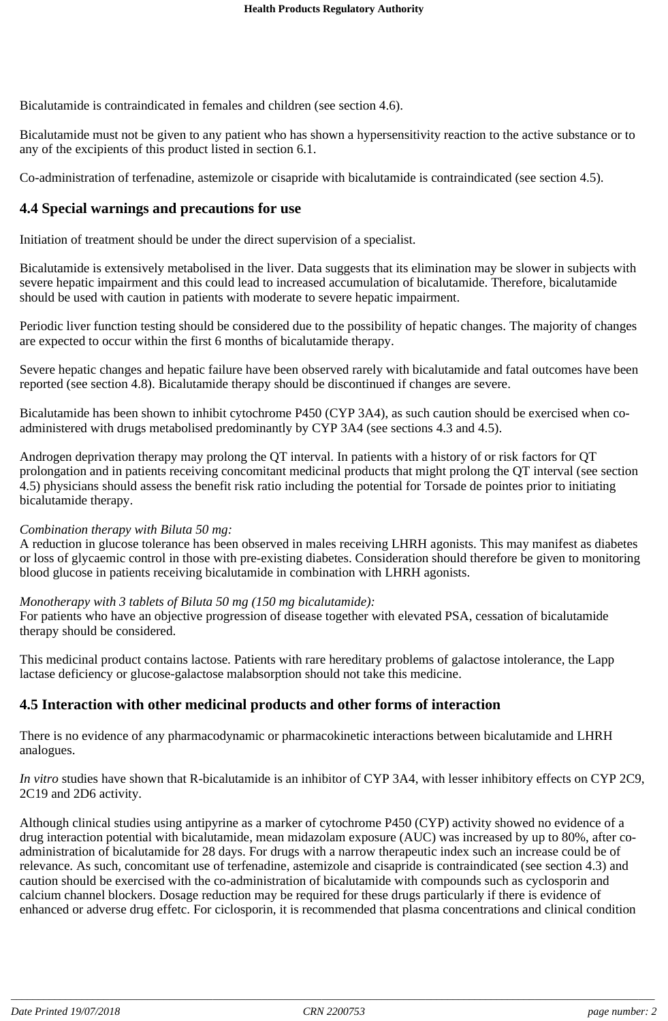Bicalutamide is contraindicated in females and children (see section 4.6).

Bicalutamide must not be given to any patient who has shown a hypersensitivity reaction to the active substance or to any of the excipients of this product listed in section 6.1.

Co-administration of terfenadine, astemizole or cisapride with bicalutamide is contraindicated (see section 4.5).

#### **4.4 Special warnings and precautions for use**

Initiation of treatment should be under the direct supervision of a specialist.

Bicalutamide is extensively metabolised in the liver. Data suggests that its elimination may be slower in subjects with severe hepatic impairment and this could lead to increased accumulation of bicalutamide. Therefore, bicalutamide should be used with caution in patients with moderate to severe hepatic impairment.

Periodic liver function testing should be considered due to the possibility of hepatic changes. The majority of changes are expected to occur within the first 6 months of bicalutamide therapy.

Severe hepatic changes and hepatic failure have been observed rarely with bicalutamide and fatal outcomes have been reported (see section 4.8). Bicalutamide therapy should be discontinued if changes are severe.

Bicalutamide has been shown to inhibit cytochrome P450 (CYP 3A4), as such caution should be exercised when coadministered with drugs metabolised predominantly by CYP 3A4 (see sections 4.3 and 4.5).

Androgen deprivation therapy may prolong the QT interval. In patients with a history of or risk factors for QT prolongation and in patients receiving concomitant medicinal products that might prolong the QT interval (see section 4.5) physicians should assess the benefit risk ratio including the potential for Torsade de pointes prior to initiating bicalutamide therapy.

#### *Combination therapy with Biluta 50 mg:*

A reduction in glucose tolerance has been observed in males receiving LHRH agonists. This may manifest as diabetes or loss of glycaemic control in those with pre-existing diabetes. Consideration should therefore be given to monitoring blood glucose in patients receiving bicalutamide in combination with LHRH agonists.

#### *Monotherapy with 3 tablets of Biluta 50 mg (150 mg bicalutamide):*

For patients who have an objective progression of disease together with elevated PSA, cessation of bicalutamide therapy should be considered.

This medicinal product contains lactose. Patients with rare hereditary problems of galactose intolerance, the Lapp lactase deficiency or glucose-galactose malabsorption should not take this medicine.

#### **4.5 Interaction with other medicinal products and other forms of interaction**

There is no evidence of any pharmacodynamic or pharmacokinetic interactions between bicalutamide and LHRH analogues.

*In vitro* studies have shown that R-bicalutamide is an inhibitor of CYP 3A4, with lesser inhibitory effects on CYP 2C9, 2C19 and 2D6 activity.

Although clinical studies using antipyrine as a marker of cytochrome P450 (CYP) activity showed no evidence of a drug interaction potential with bicalutamide, mean midazolam exposure (AUC) was increased by up to 80%, after coadministration of bicalutamide for 28 days. For drugs with a narrow therapeutic index such an increase could be of relevance. As such, concomitant use of terfenadine, astemizole and cisapride is contraindicated (see section 4.3) and caution should be exercised with the co-administration of bicalutamide with compounds such as cyclosporin and calcium channel blockers. Dosage reduction may be required for these drugs particularly if there is evidence of enhanced or adverse drug effetc. For ciclosporin, it is recommended that plasma concentrations and clinical condition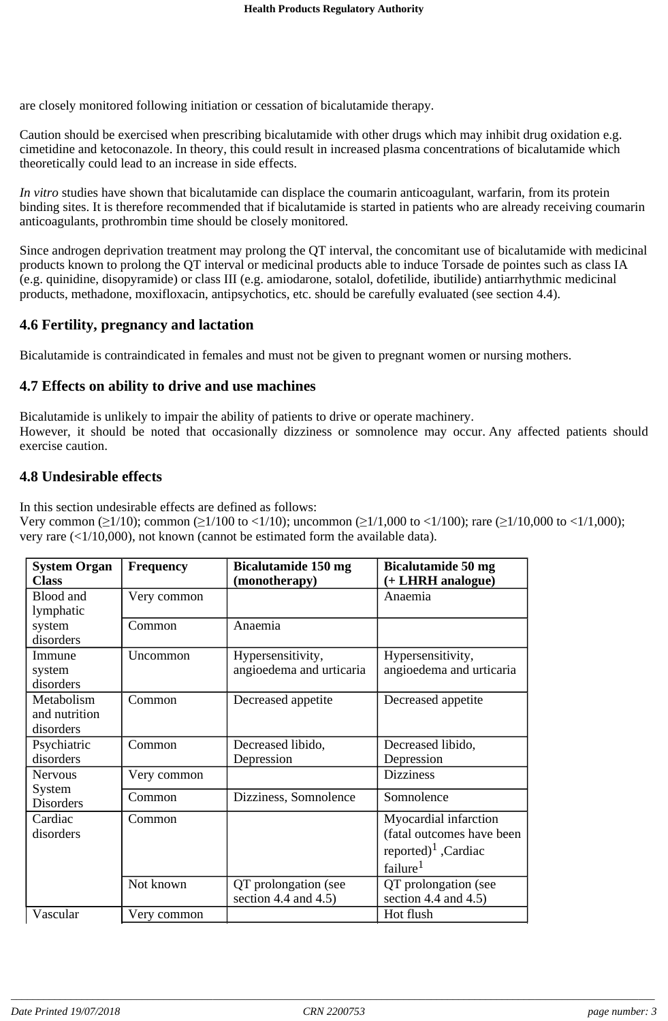are closely monitored following initiation or cessation of bicalutamide therapy.

Caution should be exercised when prescribing bicalutamide with other drugs which may inhibit drug oxidation e.g. cimetidine and ketoconazole. In theory, this could result in increased plasma concentrations of bicalutamide which theoretically could lead to an increase in side effects.

*In vitro* studies have shown that bicalutamide can displace the coumarin anticoagulant, warfarin, from its protein binding sites. It is therefore recommended that if bicalutamide is started in patients who are already receiving coumarin anticoagulants, prothrombin time should be closely monitored.

Since androgen deprivation treatment may prolong the QT interval, the concomitant use of bicalutamide with medicinal products known to prolong the QT interval or medicinal products able to induce Torsade de pointes such as class IA (e.g. quinidine, disopyramide) or class III (e.g. amiodarone, sotalol, dofetilide, ibutilide) antiarrhythmic medicinal products, methadone, moxifloxacin, antipsychotics, etc. should be carefully evaluated (see section 4.4).

### **4.6 Fertility, pregnancy and lactation**

Bicalutamide is contraindicated in females and must not be given to pregnant women or nursing mothers.

#### **4.7 Effects on ability to drive and use machines**

Bicalutamide is unlikely to impair the ability of patients to drive or operate machinery. However, it should be noted that occasionally dizziness or somnolence may occur. Any affected patients should exercise caution.

### **4.8 Undesirable effects**

In this section undesirable effects are defined as follows:

Very common ( $\geq$ 1/10); common ( $\geq$ 1/100 to <1/10); uncommon ( $\geq$ 1/1,000 to <1/100); rare ( $\geq$ 1/10,000 to <1/1,000); very rare (<1/10,000), not known (cannot be estimated form the available data).

| <b>System Organ</b><br><b>Class</b>          | <b>Frequency</b> | <b>Bicalutamide 150 mg</b><br>(monotherapy)     | <b>Bicalutamide 50 mg</b><br>(+ LHRH analogue)                                                                 |
|----------------------------------------------|------------------|-------------------------------------------------|----------------------------------------------------------------------------------------------------------------|
| Blood and<br>lymphatic                       | Very common      |                                                 | Anaemia                                                                                                        |
| system<br>disorders                          | Common           | Anaemia                                         |                                                                                                                |
| Immune<br>system<br>disorders                | Uncommon         | Hypersensitivity,<br>angioedema and urticaria   | Hypersensitivity,<br>angioedema and urticaria                                                                  |
| Metabolism<br>and nutrition<br>disorders     | Common           | Decreased appetite                              | Decreased appetite                                                                                             |
| Psychiatric<br>disorders                     | Common           | Decreased libido,<br>Depression                 | Decreased libido,<br>Depression                                                                                |
| <b>Nervous</b><br>System<br><b>Disorders</b> | Very common      |                                                 | <b>Dizziness</b>                                                                                               |
|                                              | Common           | Dizziness, Somnolence                           | Somnolence                                                                                                     |
| Cardiac<br>disorders                         | Common           |                                                 | Myocardial infarction<br>(fatal outcomes have been<br>reported) <sup>1</sup> , Cardiac<br>failure <sup>1</sup> |
|                                              | Not known        | QT prolongation (see<br>section 4.4 and $4.5$ ) | QT prolongation (see<br>section 4.4 and $4.5$ )                                                                |
| Vascular                                     | Very common      |                                                 | Hot flush                                                                                                      |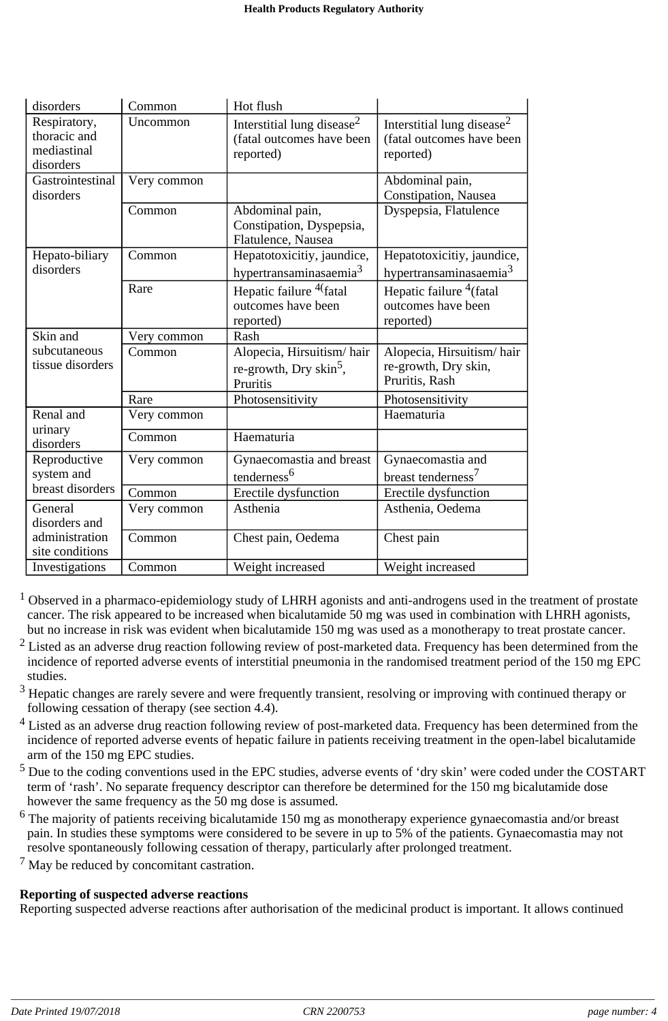| disorders                                                | Common      | Hot flush                                                                        |                                                                                  |
|----------------------------------------------------------|-------------|----------------------------------------------------------------------------------|----------------------------------------------------------------------------------|
| Respiratory,<br>thoracic and<br>mediastinal<br>disorders | Uncommon    | Interstitial lung disease <sup>2</sup><br>(fatal outcomes have been<br>reported) | Interstitial lung disease <sup>2</sup><br>(fatal outcomes have been<br>reported) |
| Gastrointestinal<br>disorders                            | Very common |                                                                                  | Abdominal pain,<br>Constipation, Nausea                                          |
|                                                          | Common      | Abdominal pain,<br>Constipation, Dyspepsia,<br>Flatulence, Nausea                | Dyspepsia, Flatulence                                                            |
| Hepato-biliary<br>disorders                              | Common      | Hepatotoxicitiy, jaundice,<br>hypertransaminasaemia <sup>3</sup>                 | Hepatotoxicitiy, jaundice,<br>hypertransaminasaemia <sup>3</sup>                 |
|                                                          | Rare        | Hepatic failure <sup>4(</sup> fatal<br>outcomes have been<br>reported)           | Hepatic failure $4$ (fatal<br>outcomes have been<br>reported)                    |
| Skin and                                                 | Very common | Rash                                                                             |                                                                                  |
| subcutaneous<br>tissue disorders                         | Common      | Alopecia, Hirsuitism/hair<br>re-growth, Dry skin <sup>5</sup> ,<br>Pruritis      | Alopecia, Hirsuitism/hair<br>re-growth, Dry skin,<br>Pruritis, Rash              |
|                                                          | Rare        | Photosensitivity                                                                 | Photosensitivity                                                                 |
| Renal and                                                | Very common |                                                                                  | Haematuria                                                                       |
| urinary<br>disorders                                     | Common      | Haematuria                                                                       |                                                                                  |
| Reproductive<br>system and                               | Very common | Gynaecomastia and breast<br>tenderness <sup>6</sup>                              | Gynaecomastia and<br>breast tenderness <sup>7</sup>                              |
| breast disorders                                         | Common      | Erectile dysfunction                                                             | Erectile dysfunction                                                             |
| General<br>disorders and                                 | Very common | Asthenia                                                                         | Asthenia, Oedema                                                                 |
| administration<br>site conditions                        | Common      | Chest pain, Oedema                                                               | Chest pain                                                                       |
| Investigations                                           | Common      | Weight increased                                                                 | Weight increased                                                                 |

<sup>1</sup> Observed in a pharmaco-epidemiology study of LHRH agonists and anti-androgens used in the treatment of prostate cancer. The risk appeared to be increased when bicalutamide 50 mg was used in combination with LHRH agonists, but no increase in risk was evident when bicalutamide 150 mg was used as a monotherapy to treat prostate cancer.

- $2$  Listed as an adverse drug reaction following review of post-marketed data. Frequency has been determined from the incidence of reported adverse events of interstitial pneumonia in the randomised treatment period of the 150 mg EPC studies.
- $3$  Hepatic changes are rarely severe and were frequently transient, resolving or improving with continued therapy or following cessation of therapy (see section 4.4).
- <sup>4</sup> Listed as an adverse drug reaction following review of post-marketed data. Frequency has been determined from the incidence of reported adverse events of hepatic failure in patients receiving treatment in the open-label bicalutamide arm of the 150 mg EPC studies.
- <sup>5</sup> Due to the coding conventions used in the EPC studies, adverse events of 'dry skin' were coded under the COSTART term of 'rash'. No separate frequency descriptor can therefore be determined for the 150 mg bicalutamide dose however the same frequency as the 50 mg dose is assumed.
- $6$  The majority of patients receiving bicalutamide 150 mg as monotherapy experience gynaecomastia and/or breast pain. In studies these symptoms were considered to be severe in up to 5% of the patients. Gynaecomastia may not resolve spontaneously following cessation of therapy, particularly after prolonged treatment.
- $<sup>7</sup>$  May be reduced by concomitant castration.</sup>

## **Reporting of suspected adverse reactions**

Reporting suspected adverse reactions after authorisation of the medicinal product is important. It allows continued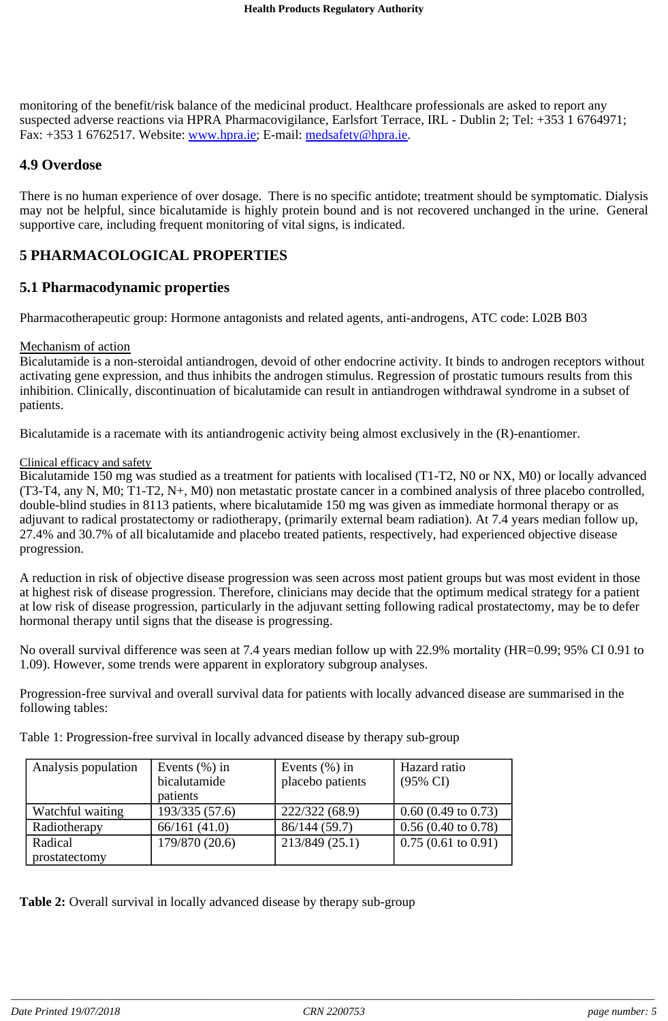monitoring of the benefit/risk balance of the medicinal product. Healthcare professionals are asked to report any suspected adverse reactions via HPRA Pharmacovigilance, Earlsfort Terrace, IRL - Dublin 2; Tel: +353 1 6764971; Fax: +353 1 6762517. Website: www.hpra.ie; E-mail: medsafety@hpra.ie.

### **4.9 Overdose**

There is no human experience of over dosage. There is no specific antidote; treatment should be symptomatic. Dialysis may not be helpful, since bicalutamide is highly protein bound and is not recovered unchanged in the urine. General supportive care, including frequent monitoring of vital signs, is indicated.

## **5 PHARMACOLOGICAL PROPERTIES**

### **5.1 Pharmacodynamic properties**

Pharmacotherapeutic group: Hormone antagonists and related agents, anti-androgens, ATC code: L02B B03

#### Mechanism of action

Bicalutamide is a non-steroidal antiandrogen, devoid of other endocrine activity. It binds to androgen receptors without activating gene expression, and thus inhibits the androgen stimulus. Regression of prostatic tumours results from this inhibition. Clinically, discontinuation of bicalutamide can result in antiandrogen withdrawal syndrome in a subset of patients.

Bicalutamide is a racemate with its antiandrogenic activity being almost exclusively in the (R)-enantiomer.

#### Clinical efficacy and safety

Bicalutamide 150 mg was studied as a treatment for patients with localised (T1-T2, N0 or NX, M0) or locally advanced (T3-T4, any N, M0; T1-T2, N+, M0) non metastatic prostate cancer in a combined analysis of three placebo controlled, double-blind studies in 8113 patients, where bicalutamide 150 mg was given as immediate hormonal therapy or as adjuvant to radical prostatectomy or radiotherapy, (primarily external beam radiation). At 7.4 years median follow up, 27.4% and 30.7% of all bicalutamide and placebo treated patients, respectively, had experienced objective disease progression.

A reduction in risk of objective disease progression was seen across most patient groups but was most evident in those at highest risk of disease progression. Therefore, clinicians may decide that the optimum medical strategy for a patient at low risk of disease progression, particularly in the adjuvant setting following radical prostatectomy, may be to defer hormonal therapy until signs that the disease is progressing.

No overall survival difference was seen at 7.4 years median follow up with 22.9% mortality (HR=0.99; 95% CI 0.91 to 1.09). However, some trends were apparent in exploratory subgroup analyses.

Progression-free survival and overall survival data for patients with locally advanced disease are summarised in the following tables:

Table 1: Progression-free survival in locally advanced disease by therapy sub-group

| Analysis population | Events $(\% )$ in | Events $(\% )$ in | Hazard ratio                  |
|---------------------|-------------------|-------------------|-------------------------------|
|                     | bicalutamide      | placebo patients  | $(95\% \text{ CI})$           |
|                     | patients          |                   |                               |
| Watchful waiting    | 193/335 (57.6)    | 222/322 (68.9)    | $0.60$ (0.49 to 0.73)         |
| Radiotherapy        | 66/161(41.0)      | 86/144(59.7)      | $0.56(0.40 \text{ to } 0.78)$ |
| Radical             | 179/870 (20.6)    | 213/849 (25.1)    | $0.75(0.61 \text{ to } 0.91)$ |
| prostatectomy       |                   |                   |                               |

**Table 2:** Overall survival in locally advanced disease by therapy sub-group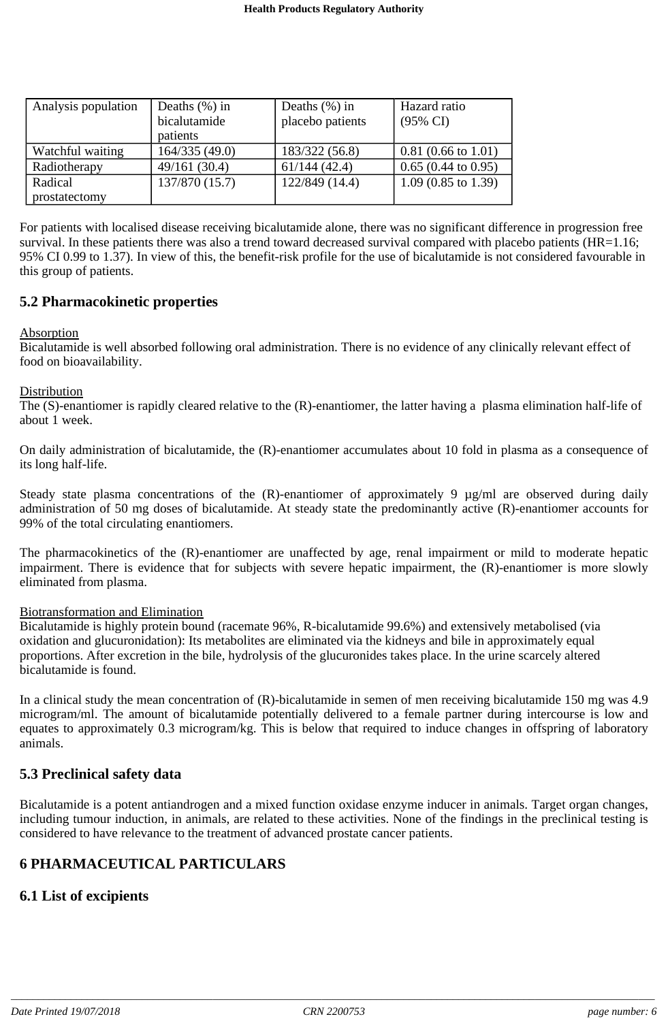| Analysis population | Deaths $(\% )$ in<br>bicalutamide<br>patients | Deaths $(\% )$ in<br>placebo patients | Hazard ratio<br>$(95\% \text{ CI})$ |
|---------------------|-----------------------------------------------|---------------------------------------|-------------------------------------|
| Watchful waiting    | 164/335(49.0)                                 | 183/322 (56.8)                        | $0.81(0.66 \text{ to } 1.01)$       |
| Radiotherapy        | 49/161(30.4)                                  | 61/144(42.4)                          | $0.65(0.44 \text{ to } 0.95)$       |
| Radical             | 137/870 (15.7)                                | 122/849 (14.4)                        | $1.09$ (0.85 to 1.39)               |
| prostatectomy       |                                               |                                       |                                     |

For patients with localised disease receiving bicalutamide alone, there was no significant difference in progression free survival. In these patients there was also a trend toward decreased survival compared with placebo patients (HR=1.16; 95% CI 0.99 to 1.37). In view of this, the benefit-risk profile for the use of bicalutamide is not considered favourable in this group of patients.

#### **5.2 Pharmacokinetic properties**

#### Absorption

Bicalutamide is well absorbed following oral administration. There is no evidence of any clinically relevant effect of food on bioavailability.

#### **Distribution**

The (S)-enantiomer is rapidly cleared relative to the (R)-enantiomer, the latter having a plasma elimination half-life of about 1 week.

On daily administration of bicalutamide, the (R)-enantiomer accumulates about 10 fold in plasma as a consequence of its long half-life.

Steady state plasma concentrations of the (R)-enantiomer of approximately 9  $\mu$ g/ml are observed during daily administration of 50 mg doses of bicalutamide. At steady state the predominantly active (R)-enantiomer accounts for 99% of the total circulating enantiomers.

The pharmacokinetics of the (R)-enantiomer are unaffected by age, renal impairment or mild to moderate hepatic impairment. There is evidence that for subjects with severe hepatic impairment, the (R)-enantiomer is more slowly eliminated from plasma.

#### Biotransformation and Elimination

Bicalutamide is highly protein bound (racemate 96%, R-bicalutamide 99.6%) and extensively metabolised (via oxidation and glucuronidation): Its metabolites are eliminated via the kidneys and bile in approximately equal proportions. After excretion in the bile, hydrolysis of the glucuronides takes place. In the urine scarcely altered bicalutamide is found.

In a clinical study the mean concentration of (R)-bicalutamide in semen of men receiving bicalutamide 150 mg was 4.9 microgram/ml. The amount of bicalutamide potentially delivered to a female partner during intercourse is low and equates to approximately 0.3 microgram/kg. This is below that required to induce changes in offspring of laboratory animals.

#### **5.3 Preclinical safety data**

Bicalutamide is a potent antiandrogen and a mixed function oxidase enzyme inducer in animals. Target organ changes, including tumour induction, in animals, are related to these activities. None of the findings in the preclinical testing is considered to have relevance to the treatment of advanced prostate cancer patients.

## **6 PHARMACEUTICAL PARTICULARS**

#### **6.1 List of excipients**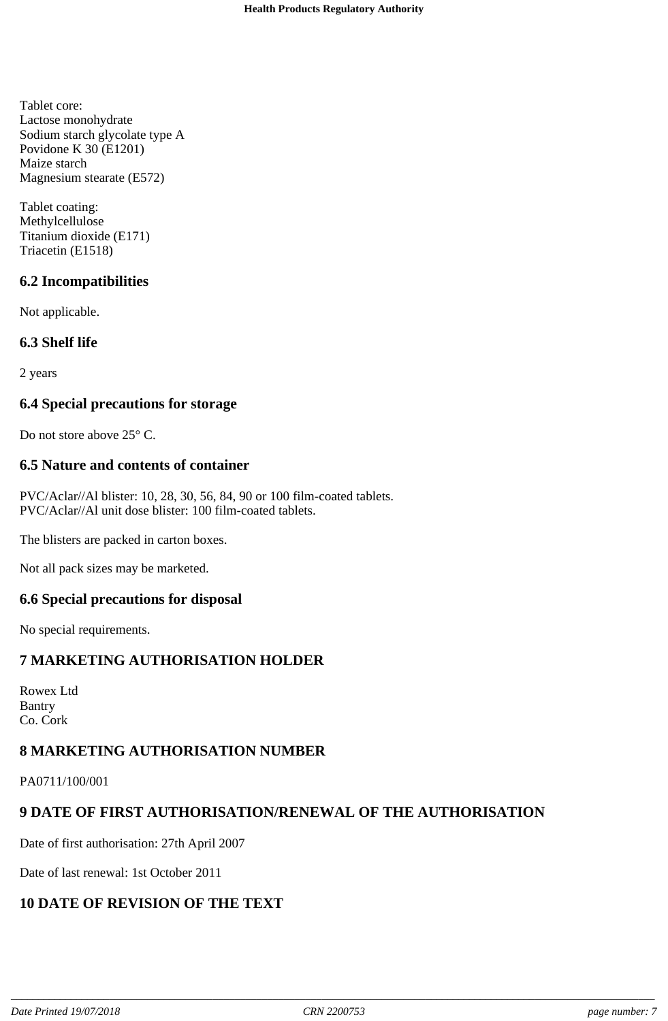Tablet core: Lactose monohydrate Sodium starch glycolate type A Povidone K 30 (E1201) Maize starch Magnesium stearate (E572)

Tablet coating: Methylcellulose Titanium dioxide (E171) Triacetin (E1518)

## **6.2 Incompatibilities**

Not applicable.

## **6.3 Shelf life**

2 years

## **6.4 Special precautions for storage**

Do not store above 25° C.

### **6.5 Nature and contents of container**

PVC/Aclar//Al blister: 10, 28, 30, 56, 84, 90 or 100 film-coated tablets. PVC/Aclar//Al unit dose blister: 100 film-coated tablets.

The blisters are packed in carton boxes.

Not all pack sizes may be marketed.

#### **6.6 Special precautions for disposal**

No special requirements.

#### **7 MARKETING AUTHORISATION HOLDER**

Rowex Ltd Bantry Co. Cork

## **8 MARKETING AUTHORISATION NUMBER**

PA0711/100/001

## **9 DATE OF FIRST AUTHORISATION/RENEWAL OF THE AUTHORISATION**

Date of first authorisation: 27th April 2007

Date of last renewal: 1st October 2011

## **10 DATE OF REVISION OF THE TEXT**